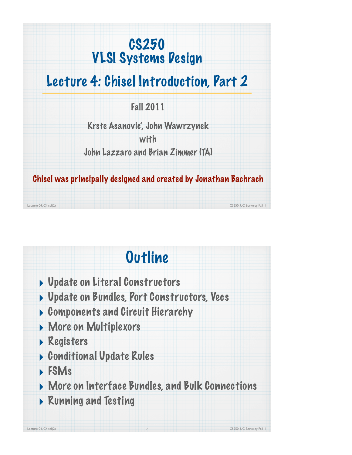### CS250 VLSI Systems Design

### Lecture 4: Chisel Introduction, Part 2

Fall 2011

Krste Asanovic', John Wawrzynek

with

John Lazzaro and Brian Zimmer (TA)

Chisel was principally designed and created by Jonathan Bachrach

Lecture 04, Chisel(2) CS250, UC Berkeley Fall '11

## **Outline**

- ‣ Update on Literal Constructors
- ▶ Update on Bundles, Port Constructors, Vecs
- ‣ Components and Circuit Hierarchy
- ‣ More on Multiplexors
- ‣ Registers
- ‣ Conditional Update Rules
- ‣ FSMs
- ‣ More on Interface Bundles, and Bulk Connections

2

‣ Running and Testing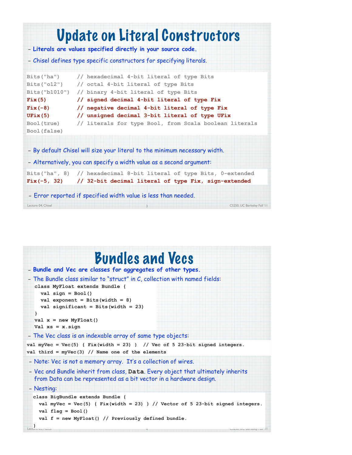

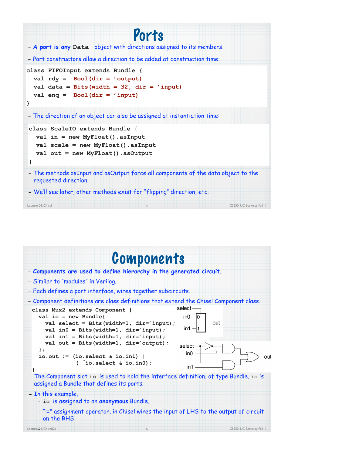

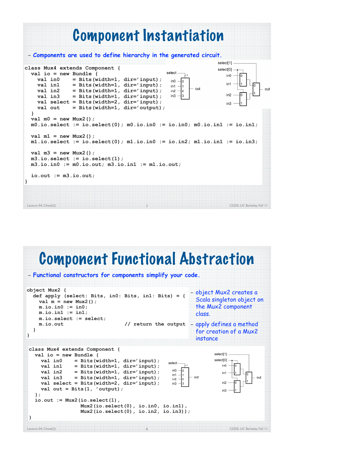

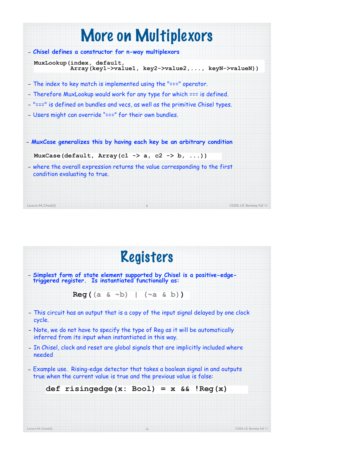| More on Multiplexors                                                                                         |                                                     |
|--------------------------------------------------------------------------------------------------------------|-----------------------------------------------------|
| - Chisel defines a constructor for n-way multiplexors                                                        |                                                     |
| MuxLookup(index, default,                                                                                    | Array (key1->value1, key2->value2, , keyN->valueN)) |
| - The index to key match is implemented using the "===" operator.                                            |                                                     |
| - Therefore MuxLookup would work for any type for which === is defined.                                      |                                                     |
| - "===" is defined on bundles and vecs, as well as the primitive Chisel types.                               |                                                     |
| - Users might can override "===" for their own bundles.                                                      |                                                     |
| - MuxCase generalizes this by having each key be an arbitrary condition                                      |                                                     |
| MuxCase(default, Array(c1 -> a, c2 -> b, ))                                                                  |                                                     |
| - where the overall expression returns the value corresponding to the first<br>condition evaluating to true. |                                                     |
|                                                                                                              |                                                     |
| Lecture 04, Chisel(2)<br>9                                                                                   | CS250, UC Berkeley Fall '11                         |

|        | - Simplest form of state element supported by Chisel is a positive-edge-<br>triggered register. Is instantiated functionally as:                       |  |
|--------|--------------------------------------------------------------------------------------------------------------------------------------------------------|--|
|        | $Reg((a & ^{-b})   (^a * b))$                                                                                                                          |  |
| cycle. | - This circuit has an output that is a copy of the input signal delayed by one clock                                                                   |  |
|        | - Note, we do not have to specify the type of Reg as it will be automatically<br>inferred from its input when instantiated in this way.                |  |
| needed | - In Chisel, clock and reset are global signals that are implicitly included where                                                                     |  |
|        | - Example use. Rising-edge detector that takes a boolean signal in and outputs<br>true when the current value is true and the previous value is false: |  |
|        |                                                                                                                                                        |  |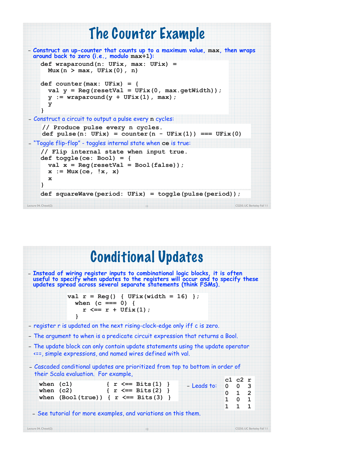

| <b>Conditional Updates</b>                                                                                                                                                                                                           |             |              |                                                                                              |   |
|--------------------------------------------------------------------------------------------------------------------------------------------------------------------------------------------------------------------------------------|-------------|--------------|----------------------------------------------------------------------------------------------|---|
| - Instead of wiring register inputs to combinational logic blocks, it is often<br>useful to specify when updates to the registers will occur and to specify these<br>updates spread across several separate statements (think FSMs). |             |              |                                                                                              |   |
| val $r = \text{Reg}()$ { $UFix(width = 16)$ };<br>when $(c == 0)$ {<br>$r \leq r + \text{Ufix}(1)$ ;                                                                                                                                 |             |              |                                                                                              |   |
| - register r is updated on the next rising-clock-edge only iff c is zero.                                                                                                                                                            |             |              |                                                                                              |   |
| - The argument to when is a predicate circuit expression that returns a Bool.                                                                                                                                                        |             |              |                                                                                              |   |
| - The update block can only contain update statements using the update operator<br><==, simple expressions, and named wires defined with val.                                                                                        |             |              |                                                                                              |   |
| - Cascaded conditional updates are prioritized from top to bottom in order of<br>their Scala evaluation. For example,                                                                                                                |             |              |                                                                                              |   |
| when $(c1)$<br>$\{ r \leq = \text{Bits}(1) \}$<br>when $(c2)$ { $r \leq r$ Bits $(2)$ }<br>when $(Bool(true)$ { $r \leq= Bits(3)$ }                                                                                                  | - Leads to: | $\mathbf{1}$ | c1 c2 r<br>$0 \quad 0 \quad 3$<br>$0 \quad 1 \quad 2$<br>$1 \quad 0 \quad 1$<br>$\mathbf{1}$ | 1 |
|                                                                                                                                                                                                                                      |             |              |                                                                                              |   |
| - See tutorial for more examples, and variations on this them.                                                                                                                                                                       |             |              |                                                                                              |   |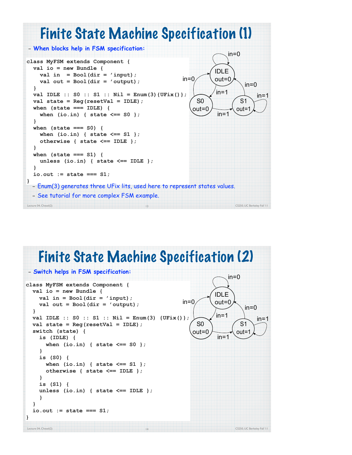

#### Finite State Machine Specification (2)

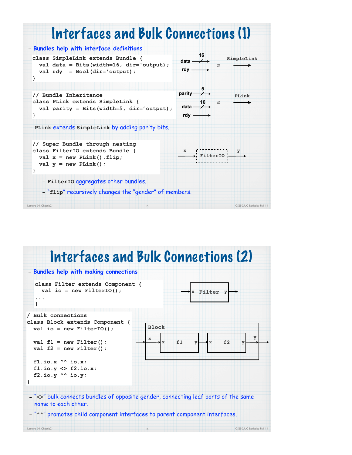

#### Lecture 04, Chesel(2) CS250, UC Berkeley Fall '11 Interfaces and Bulk Connections (2) 16 – **Bundles help with making connections** – "**<>**" bulk connects bundles of opposite gender, connecting leaf ports of the same name to each other. – "**^^**" promotes child component interfaces to parent component interfaces. **class Filter extends Component { val io = new FilterIO(); ... } x Filter y x f1 y x f2 y Block x y / Bulk connections class Block extends Component { val io = new FilterIO();**  $val$   $f1$  = new Filter();  **val f2 = new Filter(); f1.io.x ^^ io.x; f1.io.y <> f2.io.x; f2.io.y ^^ io.y; }**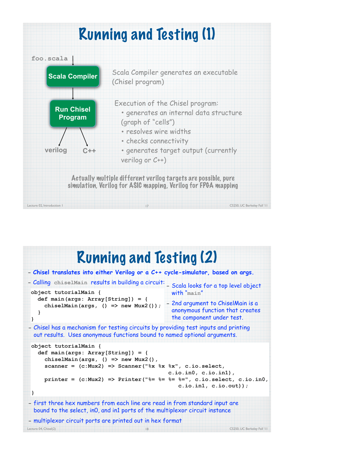

#### Lecture 04, Chisel(2) CS250, UC Berkeley Fall '11 Running and Testing (2) 18 – **Chisel translates into either Verilog or a C++ cycle-simulator, based on args.** – Calling **chiselMain** results in building a circuit: – Scala looks for a top level object **object tutorialMain { def main(args: Array[String]) = { chiselMain(args, () => new Mux2()); } }** – Chisel has a mechanism for testing circuits by providing test inputs and printing out results. Uses anonymous functions bound to named optional arguments. **object tutorialMain { def main(args: Array[String]) = { chiselMain(args, () => new Mux2(), scanner = (c:Mux2) => Scanner("%x %x %x", c.io.select, c.io.in0, c.io.in1), printer = (c:Mux2) => Printer("%= %= %= %=", c.io.select, c.io.in0, c.io.in1, c.io.out)); }** – first three hex numbers from each line are read in from standard input are bound to the select, in0, and in1 ports of the multiplexor circuit instance – multiplexor circuit ports are printed out in hex format with "**main**" – 2nd argument to ChiselMain is a anonymous function that creates the component under test.